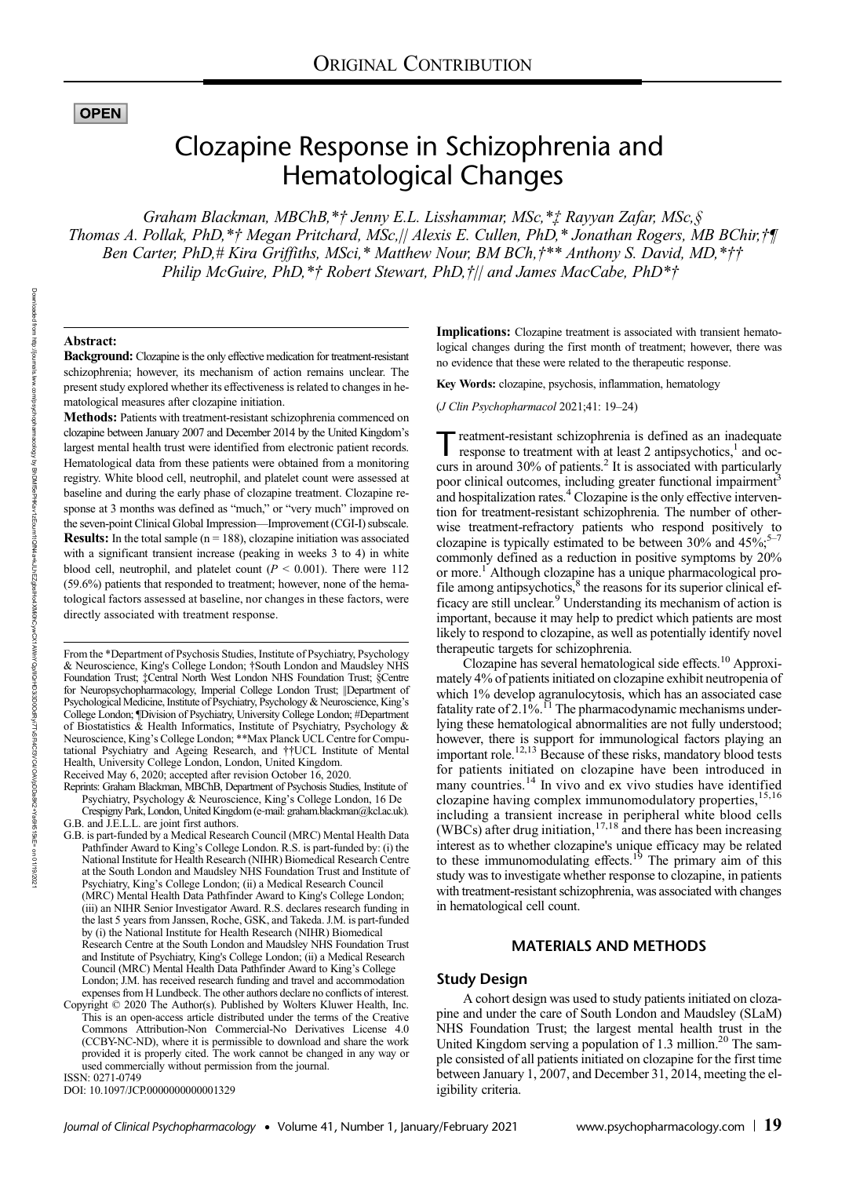# **OPEN**

# Clozapine Response in Schizophrenia and Hematological Changes

Graham Blackman, MBChB,\*† Jenny E.L. Lisshammar, MSc,\*‡ Rayyan Zafar, MSc,§ Thomas A. Pollak, PhD,\*† Megan Pritchard, MSc,|| Alexis E. Cullen, PhD,\* Jonathan Rogers, MB BChir,†¶ Ben Carter, PhD,# Kira Griffiths, MSci,\* Matthew Nour, BM BCh, $\ddot{\tau}^*$ \* Anthony S. David, MD,\* $\ddot{\tau}\dot{\tau}$ Philip McGuire, PhD,\*† Robert Stewart, PhD,†|| and James MacCabe, PhD\*†

## Abstract:

Background: Clozapine is the only effective medication for treatment-resistant schizophrenia; however, its mechanism of action remains unclear. The present study explored whether its effectiveness is related to changes in hematological measures after clozapine initiation.

Methods: Patients with treatment-resistant schizophrenia commenced on clozapine between January 2007 and December 2014 by the United Kingdom's largest mental health trust were identified from electronic patient records. Hematological data from these patients were obtained from a monitoring registry. White blood cell, neutrophil, and platelet count were assessed at baseline and during the early phase of clozapine treatment. Clozapine response at 3 months was defined as "much," or "very much" improved on the seven-point Clinical Global Impression—Improvement (CGI-I) subscale. **Results:** In the total sample  $(n = 188)$ , clozapine initiation was associated with a significant transient increase (peaking in weeks 3 to 4) in white blood cell, neutrophil, and platelet count ( $P \le 0.001$ ). There were 112 (59.6%) patients that responded to treatment; however, none of the hematological factors assessed at baseline, nor changes in these factors, were directly associated with treatment response.

Reprints: Graham Blackman, MBChB, Department of Psychosis Studies, Institute of

ISSN: 0271-0749

DOI: 10.1097/JCP.0000000000001329

Implications: Clozapine treatment is associated with transient hematological changes during the first month of treatment; however, there was no evidence that these were related to the therapeutic response.

Key Words: clozapine, psychosis, inflammation, hematology

(J Clin Psychopharmacol 2021;41: 19–24)

reatment-resistant schizophrenia is defined as an inadequate response to treatment with at least 2 antipsychotics, $<sup>1</sup>$  and oc-</sup> curs in around  $30\%$  of patients.<sup>2</sup> It is associated with particularly poor clinical outcomes, including greater functional impairment<sup>3</sup> and hospitalization rates.<sup>4</sup> Clozapine is the only effective intervention for treatment-resistant schizophrenia. The number of otherwise treatment-refractory patients who respond positively to clozapine is typically estimated to be between  $30\%$  and  $45\%;$ commonly defined as a reduction in positive symptoms by 20% or more.<sup>1</sup> Although clozapine has a unique pharmacological profile among antipsychotics, $\frac{8}{3}$  the reasons for its superior clinical efficacy are still unclear.9 Understanding its mechanism of action is important, because it may help to predict which patients are most likely to respond to clozapine, as well as potentially identify novel therapeutic targets for schizophrenia.

Clozapine has several hematological side effects.10 Approximately 4% of patients initiated on clozapine exhibit neutropenia of which 1% develop agranulocytosis, which has an associated case fatality rate of 2.1%.<sup>11</sup> The pharmacodynamic mechanisms underlying these hematological abnormalities are not fully understood; however, there is support for immunological factors playing an important role.<sup>12,13</sup> Because of these risks, mandatory blood tests for patients initiated on clozapine have been introduced in many countries.<sup>14</sup> In vivo and ex vivo studies have identified clozapine having complex immunomodulatory properties, 15,16 including a transient increase in peripheral white blood cells<br>(WBCs) after drug initiation,<sup>17,18</sup> and there has been increasing interest as to whether clozapine's unique efficacy may be related to these immunomodulating effects.<sup>19</sup> The primary aim of this study was to investigate whether response to clozapine, in patients with treatment-resistant schizophrenia, was associated with changes in hematological cell count.

# MATERIALS AND METHODS

## Study Design

A cohort design was used to study patients initiated on clozapine and under the care of South London and Maudsley (SLaM) NHS Foundation Trust; the largest mental health trust in the United Kingdom serving a population of 1.3 million.<sup>20</sup> The sample consisted of all patients initiated on clozapine for the first time between January 1, 2007, and December 31, 2014, meeting the eligibility criteria.

From the \*Department of Psychosis Studies, Institute of Psychiatry, Psychology & Neuroscience, King's College London; †South London and Maudsley NHS Foundation Trust; ‡Central North West London NHS Foundation Trust; §Centre for Neuropsychopharmacology, Imperial College London Trust; ||Department of Psychological Medicine, Institute of Psychiatry, Psychology & Neuroscience, King's College London; ¶Division of Psychiatry, University College London; #Department of Biostatistics & Health Informatics, Institute of Psychiatry, Psychology & Neuroscience, King's College London; \*\*Max Planck UCL Centre for Computational Psychiatry and Ageing Research, and ††UCL Institute of Mental Health, University College London, London, United Kingdom. Received May 6, 2020; accepted after revision October 16, 2020.

Psychiatry, Psychology & Neuroscience, King's College London, 16 De Crespigny Park, London, United Kingdom (e‐mail: [graham.blackman@kcl.ac.uk](mailto:graham.blackman@kcl.ac.uk)). G.B. and J.E.L.L. are joint first authors.

G.B. is part-funded by a Medical Research Council (MRC) Mental Health Data Pathfinder Award to King's College London. R.S. is part-funded by: (i) the National Institute for Health Research (NIHR) Biomedical Research Centre at the South London and Maudsley NHS Foundation Trust and Institute of Psychiatry, King's College London; (ii) a Medical Research Council (MRC) Mental Health Data Pathfinder Award to King's College London; (iii) an NIHR Senior Investigator Award. R.S. declares research funding in the last 5 years from Janssen, Roche, GSK, and Takeda. J.M. is part-funded by (i) the National Institute for Health Research (NIHR) Biomedical Research Centre at the South London and Maudsley NHS Foundation Trust and Institute of Psychiatry, King's College London; (ii) a Medical Research Council (MRC) Mental Health Data Pathfinder Award to King's College London; J.M. has received research funding and travel and accommodation expenses from H Lundbeck. The other authors declare no conflicts of interest.

Copyright © 2020 The Author(s). Published by Wolters Kluwer Health, Inc. This is an open-access article distributed under the terms of the [Creative](mailto:graham.blackman@kcl.ac.uk) [Commons Attribution-Non Commercial-No Derivatives License 4.0](mailto:graham.blackman@kcl.ac.uk) [\(CCBY-NC-ND\)](mailto:graham.blackman@kcl.ac.uk), where it is permissible to download and share the work provided it is properly cited. The work cannot be changed in any way or used commercially without permission from the journal.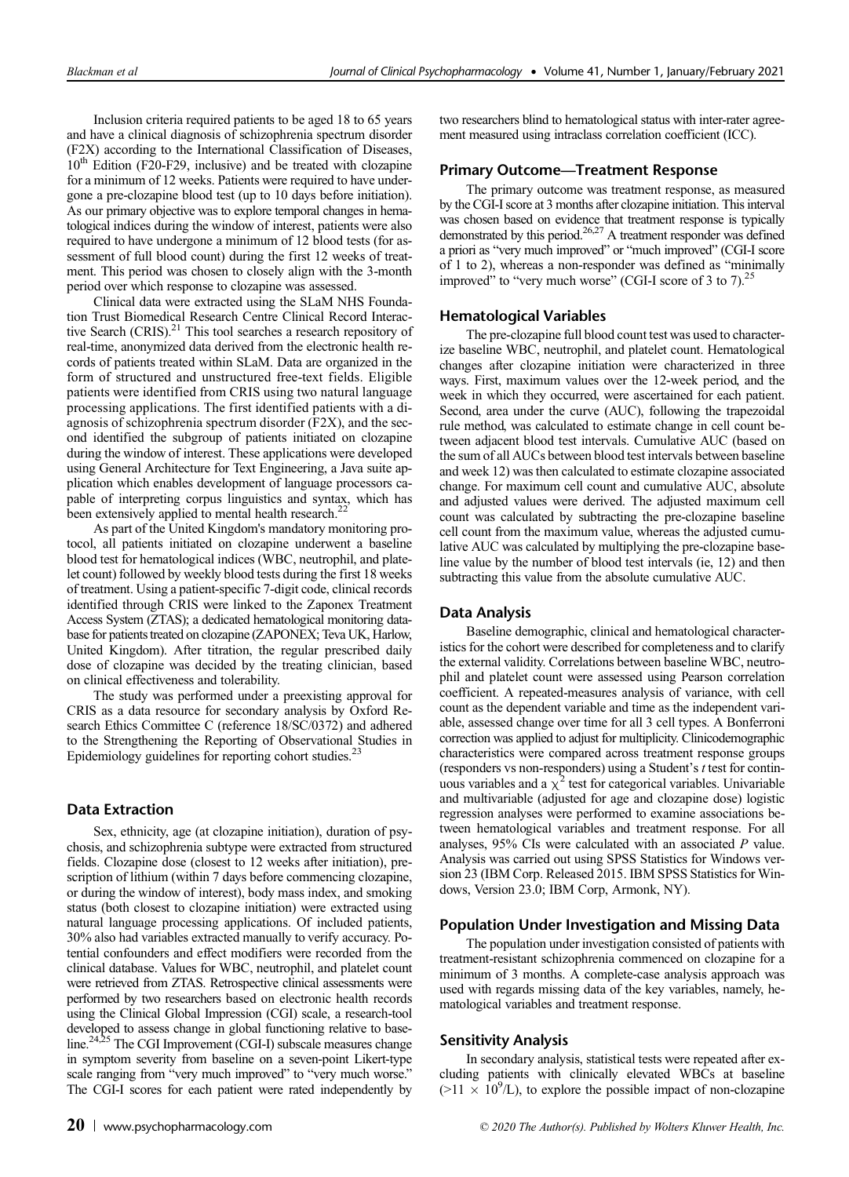Inclusion criteria required patients to be aged 18 to 65 years and have a clinical diagnosis of schizophrenia spectrum disorder (F2X) according to the International Classification of Diseases,  $10<sup>th</sup>$  Edition (F20-F29, inclusive) and be treated with clozapine for a minimum of 12 weeks. Patients were required to have undergone a pre-clozapine blood test (up to 10 days before initiation). As our primary objective was to explore temporal changes in hematological indices during the window of interest, patients were also required to have undergone a minimum of 12 blood tests (for assessment of full blood count) during the first 12 weeks of treatment. This period was chosen to closely align with the 3-month period over which response to clozapine was assessed.

Clinical data were extracted using the SLaM NHS Foundation Trust Biomedical Research Centre Clinical Record Interactive Search (CRIS).<sup>21</sup> This tool searches a research repository of real-time, anonymized data derived from the electronic health records of patients treated within SLaM. Data are organized in the form of structured and unstructured free-text fields. Eligible patients were identified from CRIS using two natural language processing applications. The first identified patients with a diagnosis of schizophrenia spectrum disorder (F2X), and the second identified the subgroup of patients initiated on clozapine during the window of interest. These applications were developed using General Architecture for Text Engineering, a Java suite application which enables development of language processors capable of interpreting corpus linguistics and syntax, which has been extensively applied to mental health research.<sup>22</sup>

As part of the United Kingdom's mandatory monitoring protocol, all patients initiated on clozapine underwent a baseline blood test for hematological indices (WBC, neutrophil, and platelet count) followed by weekly blood tests during the first 18 weeks of treatment. Using a patient-specific 7-digit code, clinical records identified through CRIS were linked to the Zaponex Treatment Access System (ZTAS); a dedicated hematological monitoring database for patients treated on clozapine (ZAPONEX; Teva UK, Harlow, United Kingdom). After titration, the regular prescribed daily dose of clozapine was decided by the treating clinician, based on clinical effectiveness and tolerability.

The study was performed under a preexisting approval for CRIS as a data resource for secondary analysis by Oxford Research Ethics Committee C (reference 18/SC/0372) and adhered to the Strengthening the Reporting of Observational Studies in Epidemiology guidelines for reporting cohort studies. $^{23}$ 

# Data Extraction

Sex, ethnicity, age (at clozapine initiation), duration of psychosis, and schizophrenia subtype were extracted from structured fields. Clozapine dose (closest to 12 weeks after initiation), prescription of lithium (within 7 days before commencing clozapine, or during the window of interest), body mass index, and smoking status (both closest to clozapine initiation) were extracted using natural language processing applications. Of included patients, 30% also had variables extracted manually to verify accuracy. Potential confounders and effect modifiers were recorded from the clinical database. Values for WBC, neutrophil, and platelet count were retrieved from ZTAS. Retrospective clinical assessments were performed by two researchers based on electronic health records using the Clinical Global Impression (CGI) scale, a research-tool developed to assess change in global functioning relative to baseline.<sup>24,25</sup> The CGI Improvement (CGI-I) subscale measures change in symptom severity from baseline on a seven-point Likert-type scale ranging from "very much improved" to "very much worse." The CGI-I scores for each patient were rated independently by

two researchers blind to hematological status with inter-rater agreement measured using intraclass correlation coefficient (ICC).

## Primary Outcome—Treatment Response

The primary outcome was treatment response, as measured by the CGI-I score at 3 months after clozapine initiation. This interval was chosen based on evidence that treatment response is typically demonstrated by this period.<sup>26,27</sup> A treatment responder was defined a priori as "very much improved" or "much improved" (CGI-I score of 1 to 2), whereas a non-responder was defined as "minimally improved" to "very much worse" (CGI-I score of 3 to 7). $^{25}$ 

## Hematological Variables

The pre-clozapine full blood count test was used to characterize baseline WBC, neutrophil, and platelet count. Hematological changes after clozapine initiation were characterized in three ways. First, maximum values over the 12-week period, and the week in which they occurred, were ascertained for each patient. Second, area under the curve (AUC), following the trapezoidal rule method, was calculated to estimate change in cell count between adjacent blood test intervals. Cumulative AUC (based on the sum of all AUCs between blood test intervals between baseline and week 12) was then calculated to estimate clozapine associated change. For maximum cell count and cumulative AUC, absolute and adjusted values were derived. The adjusted maximum cell count was calculated by subtracting the pre-clozapine baseline cell count from the maximum value, whereas the adjusted cumulative AUC was calculated by multiplying the pre-clozapine baseline value by the number of blood test intervals (ie, 12) and then subtracting this value from the absolute cumulative AUC.

#### Data Analysis

Baseline demographic, clinical and hematological characteristics for the cohort were described for completeness and to clarify the external validity. Correlations between baseline WBC, neutrophil and platelet count were assessed using Pearson correlation coefficient. A repeated-measures analysis of variance, with cell count as the dependent variable and time as the independent variable, assessed change over time for all 3 cell types. A Bonferroni correction was applied to adjust for multiplicity. Clinicodemographic characteristics were compared across treatment response groups (responders vs non-responders) using a Student's t test for continuous variables and a  $\chi^2$  test for categorical variables. Univariable and multivariable (adjusted for age and clozapine dose) logistic regression analyses were performed to examine associations between hematological variables and treatment response. For all analyses, 95% CIs were calculated with an associated P value. Analysis was carried out using SPSS Statistics for Windows version 23 (IBM Corp. Released 2015. IBM SPSS Statistics for Windows, Version 23.0; IBM Corp, Armonk, NY).

## Population Under Investigation and Missing Data

The population under investigation consisted of patients with treatment-resistant schizophrenia commenced on clozapine for a minimum of 3 months. A complete-case analysis approach was used with regards missing data of the key variables, namely, hematological variables and treatment response.

#### Sensitivity Analysis

In secondary analysis, statistical tests were repeated after excluding patients with clinically elevated WBCs at baseline  $(>11 \times 10^9$ /L), to explore the possible impact of non-clozapine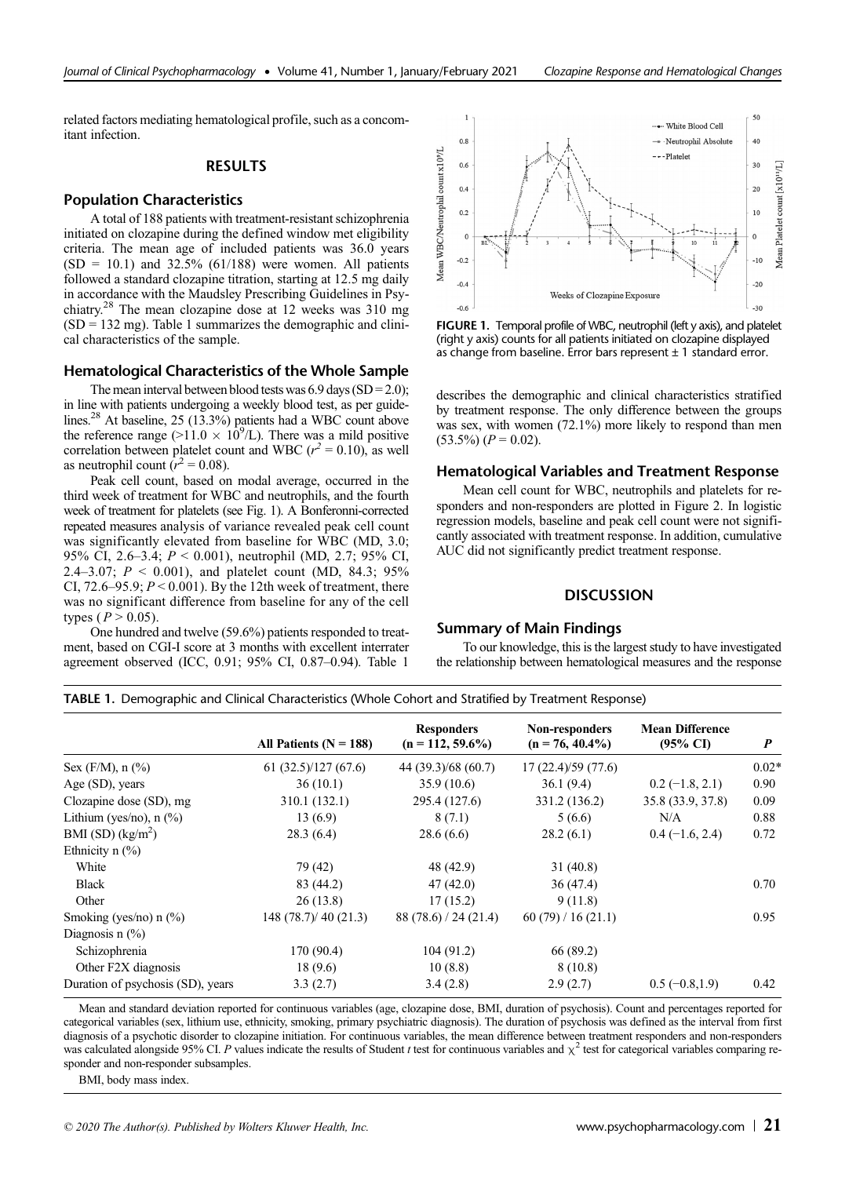related factors mediating hematological profile, such as a concomitant infection.

## **RESULTS**

#### Population Characteristics

A total of 188 patients with treatment-resistant schizophrenia initiated on clozapine during the defined window met eligibility criteria. The mean age of included patients was 36.0 years  $(SD = 10.1)$  and 32.5%  $(61/188)$  were women. All patients followed a standard clozapine titration, starting at 12.5 mg daily in accordance with the Maudsley Prescribing Guidelines in Psychiatry.28 The mean clozapine dose at 12 weeks was 310 mg  $(SD = 132 \text{ mg})$ . Table 1 summarizes the demographic and clinical characteristics of the sample.

# Hematological Characteristics of the Whole Sample

The mean interval between blood tests was  $6.9 \text{ days (SD} = 2.0);$ in line with patients undergoing a weekly blood test, as per guidelines.28 At baseline, 25 (13.3%) patients had a WBC count above the reference range (>11.0  $\times$  10<sup>9</sup>/L). There was a mild positive correlation between platelet count and WBC ( $r^2 = 0.10$ ), as well as neutrophil count  $(r^2 = 0.08)$ .

Peak cell count, based on modal average, occurred in the third week of treatment for WBC and neutrophils, and the fourth week of treatment for platelets (see Fig. 1). A Bonferonni-corrected repeated measures analysis of variance revealed peak cell count was significantly elevated from baseline for WBC (MD, 3.0; 95% CI, 2.6–3.4; P < 0.001), neutrophil (MD, 2.7; 95% CI, 2.4–3.07;  $P \le 0.001$ ), and platelet count (MD, 84.3; 95% CI,  $72.6-95.9$ ;  $P < 0.001$ ). By the 12th week of treatment, there was no significant difference from baseline for any of the cell types ( $P > 0.05$ ).

One hundred and twelve (59.6%) patients responded to treatment, based on CGI-I score at 3 months with excellent interrater agreement observed (ICC, 0.91; 95% CI, 0.87–0.94). Table 1



FIGURE 1. Temporal profile of WBC, neutrophil (left y axis), and platelet (right y axis) counts for all patients initiated on clozapine displayed as change from baseline. Error bars represent  $\pm$  1 standard error.

describes the demographic and clinical characteristics stratified by treatment response. The only difference between the groups was sex, with women (72.1%) more likely to respond than men  $(53.5\%) (P = 0.02).$ 

## Hematological Variables and Treatment Response

Mean cell count for WBC, neutrophils and platelets for responders and non-responders are plotted in Figure 2. In logistic regression models, baseline and peak cell count were not significantly associated with treatment response. In addition, cumulative AUC did not significantly predict treatment response.

#### **DISCUSSION**

## Summary of Main Findings

To our knowledge, this is the largest study to have investigated the relationship between hematological measures and the response

TABLE 1. Demographic and Clinical Characteristics (Whole Cohort and Stratified by Treatment Response)

|                                    | All Patients ( $N = 188$ ) | <b>Responders</b><br>$(n = 112, 59.6\%)$ | Non-responders<br>$(n = 76, 40.4\%)$ | <b>Mean Difference</b><br>$(95\% \text{ C}I)$ | P       |
|------------------------------------|----------------------------|------------------------------------------|--------------------------------------|-----------------------------------------------|---------|
|                                    |                            |                                          |                                      |                                               |         |
| Sex $(F/M)$ , n $(\%)$             | 61(32.5)/127(67.6)         | 44 (39.3)/68 (60.7)                      | 17(22.4)/59(77.6)                    |                                               | $0.02*$ |
| Age (SD), years                    | 36(10.1)                   | 35.9(10.6)                               | 36.1(9.4)                            | $0.2$ (-1.8, 2.1)                             | 0.90    |
| Clozapine dose (SD), mg            | 310.1 (132.1)              | 295.4 (127.6)                            | 331.2 (136.2)                        | 35.8 (33.9, 37.8)                             | 0.09    |
| Lithium (yes/no), $n$ (%)          | 13(6.9)                    | 8(7.1)                                   | 5(6.6)                               | N/A                                           | 0.88    |
| BMI (SD) $(kg/m2)$                 | 28.3(6.4)                  | 28.6(6.6)                                | 28.2(6.1)                            | $0.4 (-1.6, 2.4)$                             | 0.72    |
| Ethnicity $n$ $\frac{6}{6}$        |                            |                                          |                                      |                                               |         |
| White                              | 79 (42)                    | 48 (42.9)                                | 31(40.8)                             |                                               |         |
| <b>Black</b>                       | 83 (44.2)                  | 47(42.0)                                 | 36(47.4)                             |                                               | 0.70    |
| Other                              | 26(13.8)                   | 17(15.2)                                 | 9(11.8)                              |                                               |         |
| Smoking (yes/no) n $(\frac{9}{6})$ | 148(78.7)/40(21.3)         | 88(78.6)/24(21.4)                        | 60(79)/16(21.1)                      |                                               | 0.95    |
| Diagnosis $n$ $\frac{9}{6}$        |                            |                                          |                                      |                                               |         |
| Schizophrenia                      | 170 (90.4)                 | 104(91.2)                                | 66 (89.2)                            |                                               |         |
| Other F2X diagnosis                | 18(9.6)                    | 10(8.8)                                  | 8(10.8)                              |                                               |         |
| Duration of psychosis (SD), years  | 3.3(2.7)                   | 3.4(2.8)                                 | 2.9(2.7)                             | $0.5(-0.8,1.9)$                               | 0.42    |

Mean and standard deviation reported for continuous variables (age, clozapine dose, BMI, duration of psychosis). Count and percentages reported for categorical variables (sex, lithium use, ethnicity, smoking, primary psychiatric diagnosis). The duration of psychosis was defined as the interval from first diagnosis of a psychotic disorder to clozapine initiation. For continuous variables, the mean difference between treatment responders and non-responders was calculated alongside 95% CI. P values indicate the results of Student t test for continuous variables and  $\chi^2$  test for categorical variables comparing responder and non-responder subsamples.

BMI, body mass index.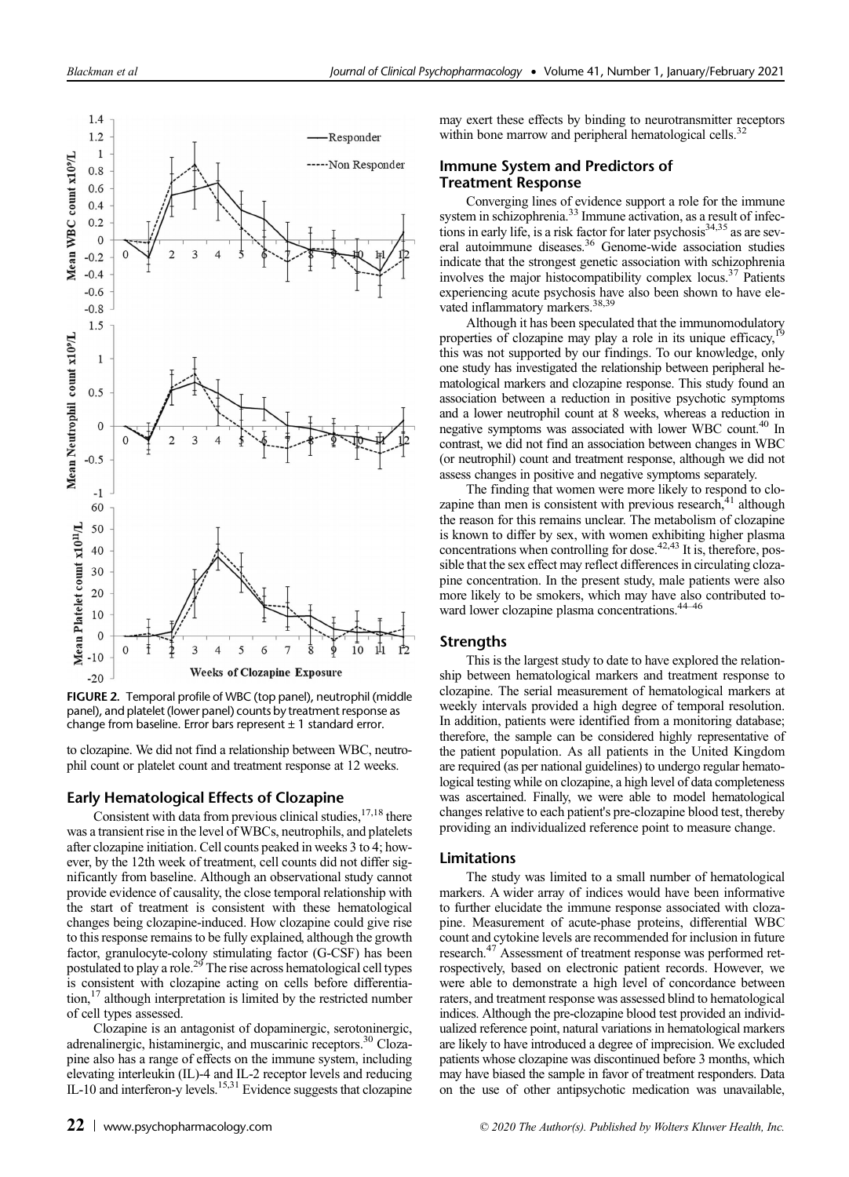

FIGURE 2. Temporal profile of WBC (top panel), neutrophil (middle panel), and platelet (lower panel) counts by treatment response as change from baseline. Error bars represent  $\pm$  1 standard error.

to clozapine. We did not find a relationship between WBC, neutrophil count or platelet count and treatment response at 12 weeks.

## Early Hematological Effects of Clozapine

Consistent with data from previous clinical studies,  $17,18$  there was a transient rise in the level of WBCs, neutrophils, and platelets after clozapine initiation. Cell counts peaked in weeks 3 to 4; however, by the 12th week of treatment, cell counts did not differ significantly from baseline. Although an observational study cannot provide evidence of causality, the close temporal relationship with the start of treatment is consistent with these hematological changes being clozapine-induced. How clozapine could give rise to this response remains to be fully explained, although the growth factor, granulocyte-colony stimulating factor (G-CSF) has been postulated to play a role.<sup>29</sup> The rise across hematological cell types is consistent with clozapine acting on cells before differentiation,17 although interpretation is limited by the restricted number of cell types assessed.

Clozapine is an antagonist of dopaminergic, serotoninergic, adrenalinergic, histaminergic, and muscarinic receptors.<sup>30</sup> Clozapine also has a range of effects on the immune system, including elevating interleukin (IL)-4 and IL-2 receptor levels and reducing IL-10 and interferon-y levels.<sup>15,31</sup> Evidence suggests that clozapine

may exert these effects by binding to neurotransmitter receptors within bone marrow and peripheral hematological cells.<sup>3</sup>

# Immune System and Predictors of Treatment Response

Converging lines of evidence support a role for the immune system in schizophrenia.<sup>33</sup> Immune activation, as a result of infections in early life, is a risk factor for later psychosis<sup>34,35</sup> as are several autoimmune diseases.36 Genome-wide association studies indicate that the strongest genetic association with schizophrenia involves the major histocompatibility complex locus. $37$  Patients experiencing acute psychosis have also been shown to have elevated inflammatory markers.<sup>38,39</sup>

Although it has been speculated that the immunomodulatory properties of clozapine may play a role in its unique efficacy, this was not supported by our findings. To our knowledge, only one study has investigated the relationship between peripheral hematological markers and clozapine response. This study found an association between a reduction in positive psychotic symptoms and a lower neutrophil count at 8 weeks, whereas a reduction in negative symptoms was associated with lower WBC count.<sup>40</sup> In contrast, we did not find an association between changes in WBC (or neutrophil) count and treatment response, although we did not assess changes in positive and negative symptoms separately.

The finding that women were more likely to respond to clozapine than men is consistent with previous research, $41$  although the reason for this remains unclear. The metabolism of clozapine is known to differ by sex, with women exhibiting higher plasma concentrations when controlling for dose.<sup> $42,43$ </sup> It is, therefore, possible that the sex effect may reflect differences in circulating clozapine concentration. In the present study, male patients were also more likely to be smokers, which may have also contributed toward lower clozapine plasma concentrations.44–<sup>46</sup>

#### **Strengths**

This is the largest study to date to have explored the relationship between hematological markers and treatment response to clozapine. The serial measurement of hematological markers at weekly intervals provided a high degree of temporal resolution. In addition, patients were identified from a monitoring database; therefore, the sample can be considered highly representative of the patient population. As all patients in the United Kingdom are required (as per national guidelines) to undergo regular hematological testing while on clozapine, a high level of data completeness was ascertained. Finally, we were able to model hematological changes relative to each patient's pre-clozapine blood test, thereby providing an individualized reference point to measure change.

## Limitations

The study was limited to a small number of hematological markers. A wider array of indices would have been informative to further elucidate the immune response associated with clozapine. Measurement of acute-phase proteins, differential WBC count and cytokine levels are recommended for inclusion in future research.47 Assessment of treatment response was performed retrospectively, based on electronic patient records. However, we were able to demonstrate a high level of concordance between raters, and treatment response was assessed blind to hematological indices. Although the pre-clozapine blood test provided an individualized reference point, natural variations in hematological markers are likely to have introduced a degree of imprecision. We excluded patients whose clozapine was discontinued before 3 months, which may have biased the sample in favor of treatment responders. Data on the use of other antipsychotic medication was unavailable,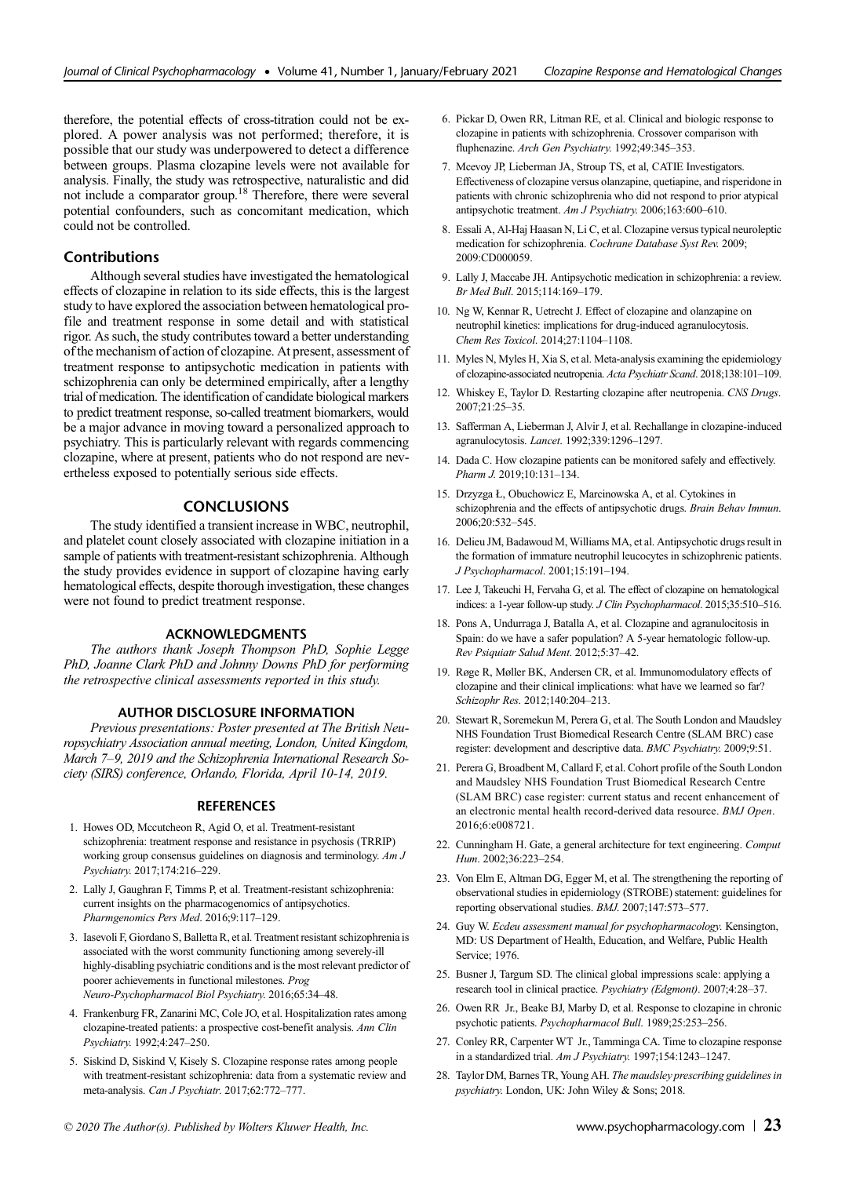therefore, the potential effects of cross-titration could not be explored. A power analysis was not performed; therefore, it is possible that our study was underpowered to detect a difference between groups. Plasma clozapine levels were not available for analysis. Finally, the study was retrospective, naturalistic and did not include a comparator group.<sup>18</sup> Therefore, there were several potential confounders, such as concomitant medication, which could not be controlled.

#### Contributions

Although several studies have investigated the hematological effects of clozapine in relation to its side effects, this is the largest study to have explored the association between hematological profile and treatment response in some detail and with statistical rigor. As such, the study contributes toward a better understanding of the mechanism of action of clozapine. At present, assessment of treatment response to antipsychotic medication in patients with schizophrenia can only be determined empirically, after a lengthy trial of medication. The identification of candidate biological markers to predict treatment response, so-called treatment biomarkers, would be a major advance in moving toward a personalized approach to psychiatry. This is particularly relevant with regards commencing clozapine, where at present, patients who do not respond are nevertheless exposed to potentially serious side effects.

### **CONCLUSIONS**

The study identified a transient increase in WBC, neutrophil, and platelet count closely associated with clozapine initiation in a sample of patients with treatment-resistant schizophrenia. Although the study provides evidence in support of clozapine having early hematological effects, despite thorough investigation, these changes were not found to predict treatment response.

#### ACKNOWLEDGMENTS

The authors thank Joseph Thompson PhD, Sophie Legge PhD, Joanne Clark PhD and Johnny Downs PhD for performing the retrospective clinical assessments reported in this study.

#### AUTHOR DISCLOSURE INFORMATION

Previous presentations: Poster presented at The British Neuropsychiatry Association annual meeting, London, United Kingdom, March 7–9, 2019 and the Schizophrenia International Research Society (SIRS) conference, Orlando, Florida, April 10-14, 2019.

#### **REFERENCES**

- 1. Howes OD, Mccutcheon R, Agid O, et al. Treatment-resistant schizophrenia: treatment response and resistance in psychosis (TRRIP) working group consensus guidelines on diagnosis and terminology. Am J Psychiatry. 2017;174:216–229.
- 2. Lally J, Gaughran F, Timms P, et al. Treatment-resistant schizophrenia: current insights on the pharmacogenomics of antipsychotics. Pharmgenomics Pers Med. 2016;9:117–129.
- 3. Iasevoli F, Giordano S, Balletta R, et al. Treatment resistant schizophrenia is associated with the worst community functioning among severely-ill highly-disabling psychiatric conditions and is the most relevant predictor of poorer achievements in functional milestones. Prog Neuro-Psychopharmacol Biol Psychiatry. 2016;65:34–48.
- 4. Frankenburg FR, Zanarini MC, Cole JO, et al. Hospitalization rates among clozapine-treated patients: a prospective cost-benefit analysis. Ann Clin Psychiatry. 1992;4:247–250.
- 5. Siskind D, Siskind V, Kisely S. Clozapine response rates among people with treatment-resistant schizophrenia: data from a systematic review and meta-analysis. Can J Psychiatr. 2017;62:772–777.
- 6. Pickar D, Owen RR, Litman RE, et al. Clinical and biologic response to clozapine in patients with schizophrenia. Crossover comparison with fluphenazine. Arch Gen Psychiatry. 1992;49:345-353.
- 7. Mcevoy JP, Lieberman JA, Stroup TS, et al, CATIE Investigators. Effectiveness of clozapine versus olanzapine, quetiapine, and risperidone in patients with chronic schizophrenia who did not respond to prior atypical antipsychotic treatment. Am J Psychiatry. 2006;163:600–610.
- 8. Essali A, Al-Haj Haasan N, Li C, et al. Clozapine versus typical neuroleptic medication for schizophrenia. Cochrane Database Syst Rev. 2009; 2009:CD000059.
- 9. Lally J, Maccabe JH. Antipsychotic medication in schizophrenia: a review. Br Med Bull. 2015;114:169–179.
- 10. Ng W, Kennar R, Uetrecht J. Effect of clozapine and olanzapine on neutrophil kinetics: implications for drug-induced agranulocytosis. Chem Res Toxicol. 2014;27:1104–1108.
- 11. Myles N, Myles H, Xia S, et al. Meta-analysis examining the epidemiology of clozapine-associated neutropenia. Acta Psychiatr Scand. 2018;138:101–109.
- 12. Whiskey E, Taylor D. Restarting clozapine after neutropenia. CNS Drugs. 2007;21:25–35.
- 13. Safferman A, Lieberman J, Alvir J, et al. Rechallange in clozapine-induced agranulocytosis. Lancet. 1992;339:1296–1297.
- 14. Dada C. How clozapine patients can be monitored safely and effectively. Pharm J. 2019;10:131–134.
- 15. Drzyzga Ł, Obuchowicz E, Marcinowska A, et al. Cytokines in schizophrenia and the effects of antipsychotic drugs. Brain Behav Immun. 2006;20:532–545.
- 16. Delieu JM, Badawoud M, Williams MA, et al. Antipsychotic drugs result in the formation of immature neutrophil leucocytes in schizophrenic patients. J Psychopharmacol. 2001;15:191–194.
- 17. Lee J, Takeuchi H, Fervaha G, et al. The effect of clozapine on hematological indices: a 1-year follow-up study. J Clin Psychopharmacol. 2015;35:510–516.
- 18. Pons A, Undurraga J, Batalla A, et al. Clozapine and agranulocitosis in Spain: do we have a safer population? A 5-year hematologic follow-up. Rev Psiquiatr Salud Ment. 2012;5:37–42.
- 19. Røge R, Møller BK, Andersen CR, et al. Immunomodulatory effects of clozapine and their clinical implications: what have we learned so far? Schizophr Res. 2012;140:204–213.
- 20. Stewart R, Soremekun M, Perera G, et al. The South London and Maudsley NHS Foundation Trust Biomedical Research Centre (SLAM BRC) case register: development and descriptive data. BMC Psychiatry. 2009;9:51.
- 21. Perera G, Broadbent M, Callard F, et al. Cohort profile of the South London and Maudsley NHS Foundation Trust Biomedical Research Centre (SLAM BRC) case register: current status and recent enhancement of an electronic mental health record-derived data resource. BMJ Open. 2016;6:e008721.
- 22. Cunningham H. Gate, a general architecture for text engineering. Comput Hum. 2002;36:223–254.
- 23. Von Elm E, Altman DG, Egger M, et al. The strengthening the reporting of observational studies in epidemiology (STROBE) statement: guidelines for reporting observational studies. BMJ. 2007;147:573–577.
- 24. Guy W. Ecdeu assessment manual for psychopharmacology. Kensington, MD: US Department of Health, Education, and Welfare, Public Health Service; 1976.
- 25. Busner J, Targum SD. The clinical global impressions scale: applying a research tool in clinical practice. Psychiatry (Edgmont). 2007;4:28–37.
- 26. Owen RR Jr., Beake BJ, Marby D, et al. Response to clozapine in chronic psychotic patients. Psychopharmacol Bull. 1989;25:253–256.
- 27. Conley RR, Carpenter WT Jr., Tamminga CA. Time to clozapine response in a standardized trial. Am J Psychiatry. 1997;154:1243–1247.
- 28. Taylor DM, Barnes TR, Young AH. The maudsley prescribing guidelines in psychiatry. London, UK: John Wiley & Sons; 2018.